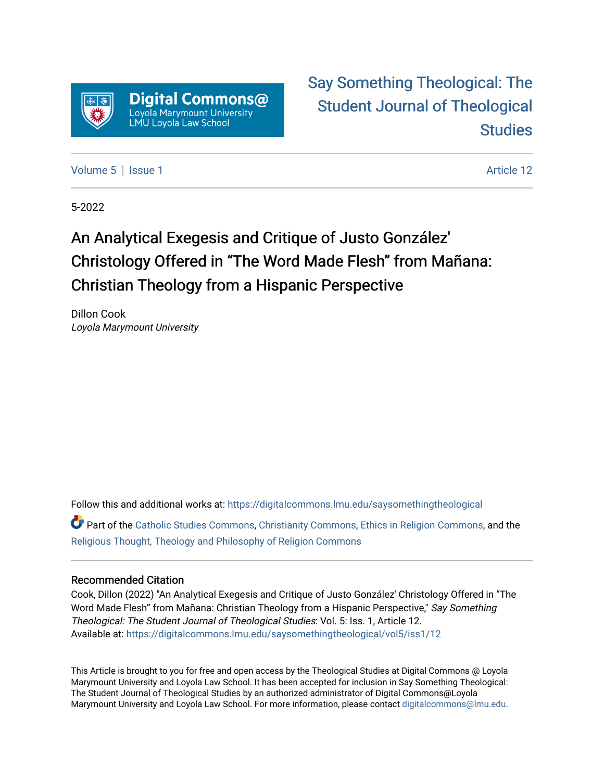

## [Say Something Theological: The](https://digitalcommons.lmu.edu/saysomethingtheological)  [Student Journal of Theological](https://digitalcommons.lmu.edu/saysomethingtheological)  **Studies**

[Volume 5](https://digitalcommons.lmu.edu/saysomethingtheological/vol5) | [Issue 1](https://digitalcommons.lmu.edu/saysomethingtheological/vol5/iss1) Article 12

5-2022

# An Analytical Exegesis and Critique of Justo González' Christology Offered in "The Word Made Flesh" from Mañana: Christian Theology from a Hispanic Perspective

Dillon Cook Loyola Marymount University

Follow this and additional works at: [https://digitalcommons.lmu.edu/saysomethingtheological](https://digitalcommons.lmu.edu/saysomethingtheological?utm_source=digitalcommons.lmu.edu%2Fsaysomethingtheological%2Fvol5%2Fiss1%2F12&utm_medium=PDF&utm_campaign=PDFCoverPages)

Part of the [Catholic Studies Commons](http://network.bepress.com/hgg/discipline/1294?utm_source=digitalcommons.lmu.edu%2Fsaysomethingtheological%2Fvol5%2Fiss1%2F12&utm_medium=PDF&utm_campaign=PDFCoverPages), [Christianity Commons](http://network.bepress.com/hgg/discipline/1181?utm_source=digitalcommons.lmu.edu%2Fsaysomethingtheological%2Fvol5%2Fiss1%2F12&utm_medium=PDF&utm_campaign=PDFCoverPages), [Ethics in Religion Commons,](http://network.bepress.com/hgg/discipline/541?utm_source=digitalcommons.lmu.edu%2Fsaysomethingtheological%2Fvol5%2Fiss1%2F12&utm_medium=PDF&utm_campaign=PDFCoverPages) and the [Religious Thought, Theology and Philosophy of Religion Commons](http://network.bepress.com/hgg/discipline/544?utm_source=digitalcommons.lmu.edu%2Fsaysomethingtheological%2Fvol5%2Fiss1%2F12&utm_medium=PDF&utm_campaign=PDFCoverPages) 

#### Recommended Citation

Cook, Dillon (2022) "An Analytical Exegesis and Critique of Justo González' Christology Offered in "The Word Made Flesh" from Mañana: Christian Theology from a Hispanic Perspective," Say Something Theological: The Student Journal of Theological Studies: Vol. 5: Iss. 1, Article 12. Available at: [https://digitalcommons.lmu.edu/saysomethingtheological/vol5/iss1/12](https://digitalcommons.lmu.edu/saysomethingtheological/vol5/iss1/12?utm_source=digitalcommons.lmu.edu%2Fsaysomethingtheological%2Fvol5%2Fiss1%2F12&utm_medium=PDF&utm_campaign=PDFCoverPages)

This Article is brought to you for free and open access by the Theological Studies at Digital Commons @ Loyola Marymount University and Loyola Law School. It has been accepted for inclusion in Say Something Theological: The Student Journal of Theological Studies by an authorized administrator of Digital Commons@Loyola Marymount University and Loyola Law School. For more information, please contact [digitalcommons@lmu.edu](mailto:digitalcommons@lmu.edu).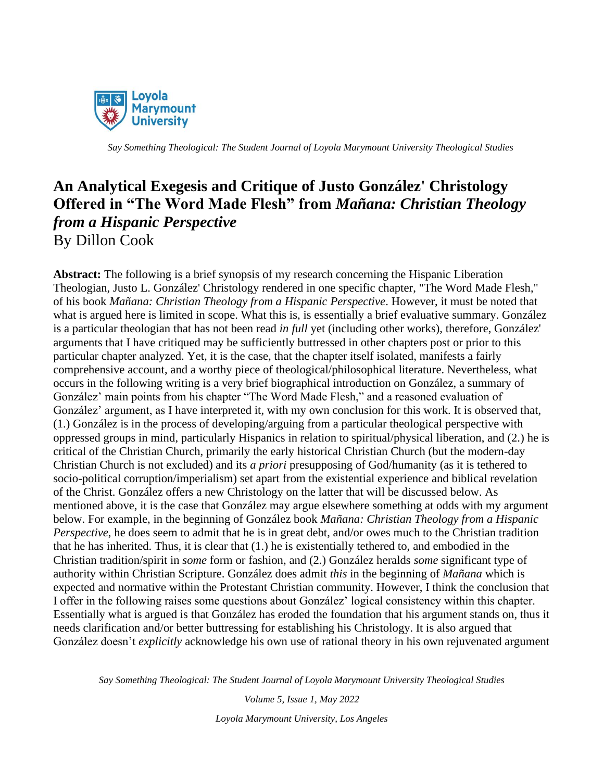

### **An Analytical Exegesis and Critique of Justo González' Christology Offered in "The Word Made Flesh" from** *Mañana: Christian Theology from a Hispanic Perspective* By Dillon Cook

**Abstract:** The following is a brief synopsis of my research concerning the Hispanic Liberation Theologian, Justo L. González' Christology rendered in one specific chapter, "The Word Made Flesh," of his book *Mañana: Christian Theology from a Hispanic Perspective*. However, it must be noted that what is argued here is limited in scope. What this is, is essentially a brief evaluative summary. González is a particular theologian that has not been read *in full* yet (including other works), therefore, González' arguments that I have critiqued may be sufficiently buttressed in other chapters post or prior to this particular chapter analyzed. Yet, it is the case, that the chapter itself isolated, manifests a fairly comprehensive account, and a worthy piece of theological/philosophical literature. Nevertheless, what occurs in the following writing is a very brief biographical introduction on González, a summary of González' main points from his chapter "The Word Made Flesh," and a reasoned evaluation of González' argument, as I have interpreted it, with my own conclusion for this work. It is observed that, (1.) González is in the process of developing/arguing from a particular theological perspective with oppressed groups in mind, particularly Hispanics in relation to spiritual/physical liberation, and (2.) he is critical of the Christian Church, primarily the early historical Christian Church (but the modern-day Christian Church is not excluded) and its *a priori* presupposing of God/humanity (as it is tethered to socio-political corruption/imperialism) set apart from the existential experience and biblical revelation of the Christ. González offers a new Christology on the latter that will be discussed below. As mentioned above, it is the case that González may argue elsewhere something at odds with my argument below. For example, in the beginning of González book *Mañana: Christian Theology from a Hispanic Perspective*, he does seem to admit that he is in great debt, and/or owes much to the Christian tradition that he has inherited. Thus, it is clear that (1.) he is existentially tethered to, and embodied in the Christian tradition/spirit in *some* form or fashion, and (2.) González heralds *some* significant type of authority within Christian Scripture. González does admit *this* in the beginning of *Mañana* which is expected and normative within the Protestant Christian community. However, I think the conclusion that I offer in the following raises some questions about González' logical consistency within this chapter. Essentially what is argued is that González has eroded the foundation that his argument stands on, thus it needs clarification and/or better buttressing for establishing his Christology. It is also argued that González doesn't *explicitly* acknowledge his own use of rational theory in his own rejuvenated argument

*Say Something Theological: The Student Journal of Loyola Marymount University Theological Studies*

*Volume 5, Issue 1, May 2022 Loyola Marymount University, Los Angeles*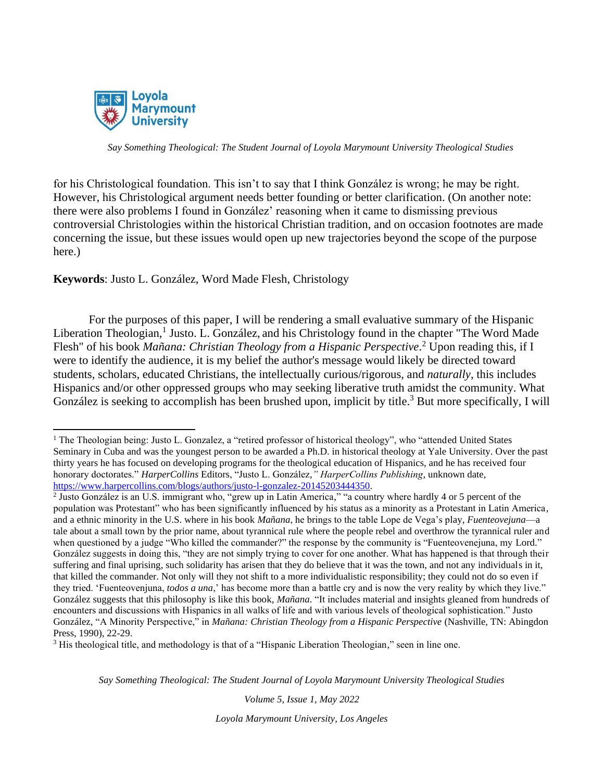

for his Christological foundation. This isn't to say that I think González is wrong; he may be right. However, his Christological argument needs better founding or better clarification. (On another note: there were also problems I found in González' reasoning when it came to dismissing previous controversial Christologies within the historical Christian tradition, and on occasion footnotes are made concerning the issue, but these issues would open up new trajectories beyond the scope of the purpose here.)

**Keywords**: Justo L. González, Word Made Flesh, Christology

For the purposes of this paper, I will be rendering a small evaluative summary of the Hispanic Liberation Theologian,<sup>1</sup> Justo. L. González, and his Christology found in the chapter "The Word Made Flesh" of his book *Mañana: Christian Theology from a Hispanic Perspective*. <sup>2</sup> Upon reading this, if I were to identify the audience, it is my belief the author's message would likely be directed toward students, scholars, educated Christians, the intellectually curious/rigorous, and *naturally*, this includes Hispanics and/or other oppressed groups who may seeking liberative truth amidst the community. What González is seeking to accomplish has been brushed upon, implicit by title.<sup>3</sup> But more specifically, I will

*Say Something Theological: The Student Journal of Loyola Marymount University Theological Studies*

*Volume 5, Issue 1, May 2022*

<sup>&</sup>lt;sup>1</sup> The Theologian being: Justo L. Gonzalez, a "retired professor of historical theology", who "attended United States" Seminary in Cuba and was the youngest person to be awarded a Ph.D. in historical theology at Yale University. Over the past thirty years he has focused on developing programs for the theological education of Hispanics, and he has received four honorary doctorates." *HarperCollins* Editors, "Justo L. González,*" HarperCollins Publishing*, unknown date, [https://www.harpercollins.com/blogs/authors/justo-l-gonzalez-20145203444350.](https://www.harpercollins.com/blogs/authors/justo-l-gonzalez-20145203444350)

<sup>&</sup>lt;sup>2</sup> Justo González is an U.S. immigrant who, "grew up in Latin America," "a country where hardly 4 or 5 percent of the population was Protestant" who has been significantly influenced by his status as a minority as a Protestant in Latin America, and a ethnic minority in the U.S. where in his book *Mañana*, he brings to the table Lope de Vega's play, *Fuenteovejuna*—a tale about a small town by the prior name, about tyrannical rule where the people rebel and overthrow the tyrannical ruler and when questioned by a judge "Who killed the commander?" the response by the community is "Fuenteovenejuna, my Lord." González suggests in doing this, "they are not simply trying to cover for one another. What has happened is that through their suffering and final uprising, such solidarity has arisen that they do believe that it was the town, and not any individuals in it, that killed the commander. Not only will they not shift to a more individualistic responsibility; they could not do so even if they tried. 'Fuenteovenjuna, *todos a una*,' has become more than a battle cry and is now the very reality by which they live." González suggests that this philosophy is like this book, *Mañana.* "It includes material and insights gleaned from hundreds of encounters and discussions with Hispanics in all walks of life and with various levels of theological sophistication." Justo González, "A Minority Perspective," in *Mañana: Christian Theology from a Hispanic Perspective* (Nashville, TN: Abingdon Press, 1990), 22-29.

<sup>&</sup>lt;sup>3</sup> His theological title, and methodology is that of a "Hispanic Liberation Theologian," seen in line one.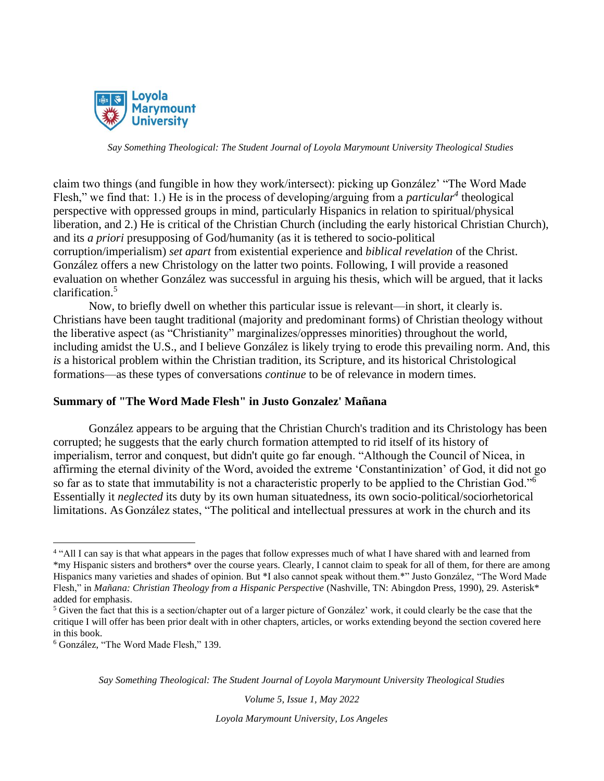

claim two things (and fungible in how they work/intersect): picking up González' "The Word Made Flesh," we find that: 1.) He is in the process of developing/arguing from a *particular<sup>4</sup>* theological perspective with oppressed groups in mind, particularly Hispanics in relation to spiritual/physical liberation, and 2.) He is critical of the Christian Church (including the early historical Christian Church), and its *a priori* presupposing of God/humanity (as it is tethered to socio-political corruption/imperialism) *set apart* from existential experience and *biblical revelation* of the Christ. González offers a new Christology on the latter two points. Following, I will provide a reasoned evaluation on whether González was successful in arguing his thesis, which will be argued, that it lacks clarification.<sup>5</sup>

Now, to briefly dwell on whether this particular issue is relevant—in short, it clearly is. Christians have been taught traditional (majority and predominant forms) of Christian theology without the liberative aspect (as "Christianity" marginalizes/oppresses minorities) throughout the world, including amidst the U.S., and I believe González is likely trying to erode this prevailing norm. And, this *is* a historical problem within the Christian tradition, its Scripture, and its historical Christological formations—as these types of conversations *continue* to be of relevance in modern times.

### **Summary of "The Word Made Flesh" in Justo Gonzalez' Mañana**

González appears to be arguing that the Christian Church's tradition and its Christology has been corrupted; he suggests that the early church formation attempted to rid itself of its history of imperialism, terror and conquest, but didn't quite go far enough. "Although the Council of Nicea, in affirming the eternal divinity of the Word, avoided the extreme 'Constantinization' of God, it did not go so far as to state that immutability is not a characteristic properly to be applied to the Christian God."<sup>6</sup> Essentially it *neglected* its duty by its own human situatedness, its own socio-political/sociorhetorical limitations. As González states, "The political and intellectual pressures at work in the church and its

*Say Something Theological: The Student Journal of Loyola Marymount University Theological Studies*

*Volume 5, Issue 1, May 2022*

<sup>&</sup>lt;sup>4</sup> "All I can say is that what appears in the pages that follow expresses much of what I have shared with and learned from \*my Hispanic sisters and brothers\* over the course years. Clearly, I cannot claim to speak for all of them, for there are among Hispanics many varieties and shades of opinion. But \*I also cannot speak without them.\*" Justo González, "The Word Made Flesh," in *Mañana: Christian Theology from a Hispanic Perspective* (Nashville, TN: Abingdon Press, 1990), 29. Asterisk\* added for emphasis.

<sup>5</sup> Given the fact that this is a section/chapter out of a larger picture of González' work, it could clearly be the case that the critique I will offer has been prior dealt with in other chapters, articles, or works extending beyond the section covered here in this book.

<sup>6</sup> González, "The Word Made Flesh," 139.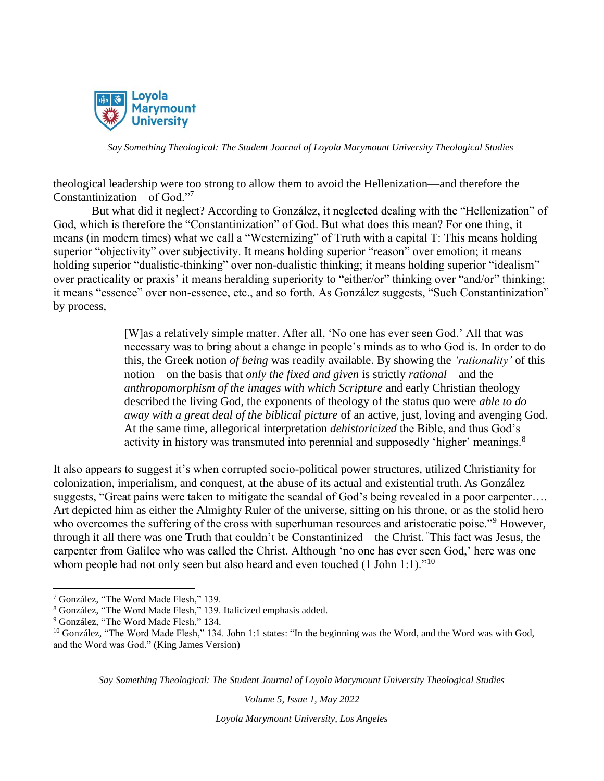

theological leadership were too strong to allow them to avoid the Hellenization—and therefore the Constantinization—of God."<sup>7</sup>

But what did it neglect? According to González, it neglected dealing with the "Hellenization" of God, which is therefore the "Constantinization" of God. But what does this mean? For one thing, it means (in modern times) what we call a "Westernizing" of Truth with a capital T: This means holding superior "objectivity" over subjectivity. It means holding superior "reason" over emotion; it means holding superior "dualistic-thinking" over non-dualistic thinking; it means holding superior "idealism" over practicality or praxis' it means heralding superiority to "either/or" thinking over "and/or" thinking; it means "essence" over non-essence, etc., and so forth. As González suggests, "Such Constantinization" by process,

> [W]as a relatively simple matter. After all, 'No one has ever seen God.' All that was necessary was to bring about a change in people's minds as to who God is. In order to do this, the Greek notion *of being* was readily available. By showing the *'rationality'* of this notion—on the basis that *only the fixed and given* is strictly *rational*—and the *anthropomorphism of the images with which Scripture* and early Christian theology described the living God, the exponents of theology of the status quo were *able to do away with a great deal of the biblical picture* of an active, just, loving and avenging God. At the same time, allegorical interpretation *dehistoricized* the Bible, and thus God's activity in history was transmuted into perennial and supposedly 'higher' meanings.<sup>8</sup>

It also appears to suggest it's when corrupted socio-political power structures, utilized Christianity for colonization, imperialism, and conquest, at the abuse of its actual and existential truth. As González suggests, "Great pains were taken to mitigate the scandal of God's being revealed in a poor carpenter…. Art depicted him as either the Almighty Ruler of the universe, sitting on his throne, or as the stolid hero who overcomes the suffering of the cross with superhuman resources and aristocratic poise."<sup>9</sup> However, through it all there was one Truth that couldn't be Constantinized—the Christ. "This fact was Jesus, the carpenter from Galilee who was called the Christ. Although 'no one has ever seen God,' here was one whom people had not only seen but also heard and even touched  $(1$  John 1:1).<sup> $11$ </sup>

*Say Something Theological: The Student Journal of Loyola Marymount University Theological Studies*

*Volume 5, Issue 1, May 2022*

<sup>7</sup> González, "The Word Made Flesh," 139.

<sup>8</sup> González, "The Word Made Flesh," 139. Italicized emphasis added.

<sup>9</sup> González, "The Word Made Flesh," 134.

 $10$  González, "The Word Made Flesh," 134. John 1:1 states: "In the beginning was the Word, and the Word was with God, and the Word was God." (King James Version)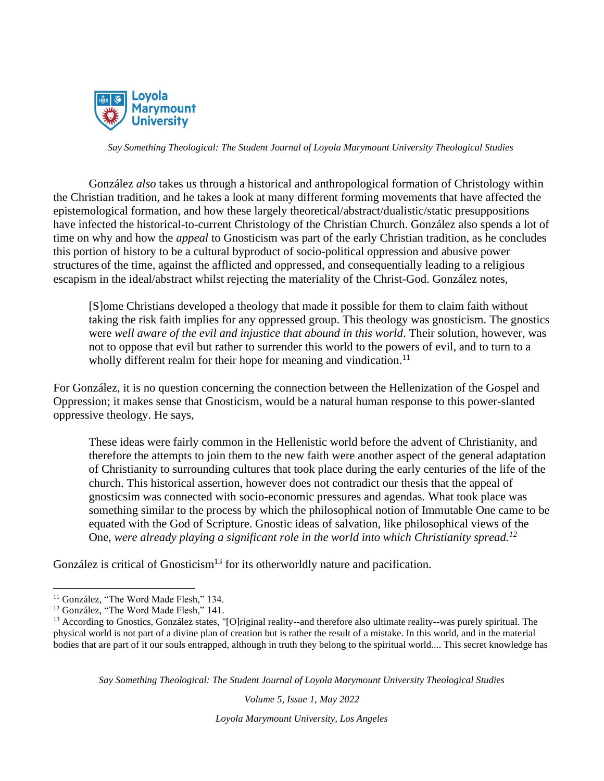

González *also* takes us through a historical and anthropological formation of Christology within the Christian tradition, and he takes a look at many different forming movements that have affected the epistemological formation, and how these largely theoretical/abstract/dualistic/static presuppositions have infected the historical-to-current Christology of the Christian Church. González also spends a lot of time on why and how the *appeal* to Gnosticism was part of the early Christian tradition, as he concludes this portion of history to be a cultural byproduct of socio-political oppression and abusive power structures of the time, against the afflicted and oppressed, and consequentially leading to a religious escapism in the ideal/abstract whilst rejecting the materiality of the Christ-God. González notes,

[S]ome Christians developed a theology that made it possible for them to claim faith without taking the risk faith implies for any oppressed group. This theology was gnosticism. The gnostics were *well aware of the evil and injustice that abound in this world*. Their solution, however, was not to oppose that evil but rather to surrender this world to the powers of evil, and to turn to a wholly different realm for their hope for meaning and vindication.<sup>11</sup>

For González, it is no question concerning the connection between the Hellenization of the Gospel and Oppression; it makes sense that Gnosticism, would be a natural human response to this power-slanted oppressive theology. He says,

These ideas were fairly common in the Hellenistic world before the advent of Christianity, and therefore the attempts to join them to the new faith were another aspect of the general adaptation of Christianity to surrounding cultures that took place during the early centuries of the life of the church. This historical assertion, however does not contradict our thesis that the appeal of gnosticsim was connected with socio-economic pressures and agendas. What took place was something similar to the process by which the philosophical notion of Immutable One came to be equated with the God of Scripture. Gnostic ideas of salvation, like philosophical views of the One, *were already playing a significant role in the world into which Christianity spread.<sup>12</sup>*

González is critical of Gnosticism<sup>13</sup> for its otherworldly nature and pacification.

*Say Something Theological: The Student Journal of Loyola Marymount University Theological Studies*

*Volume 5, Issue 1, May 2022*

<sup>&</sup>lt;sup>11</sup> González, "The Word Made Flesh," 134.

<sup>&</sup>lt;sup>12</sup> González, "The Word Made Flesh," 141.

<sup>&</sup>lt;sup>13</sup> According to Gnostics, González states, "[O]riginal reality--and therefore also ultimate reality--was purely spiritual. The physical world is not part of a divine plan of creation but is rather the result of a mistake. In this world, and in the material bodies that are part of it our souls entrapped, although in truth they belong to the spiritual world.... This secret knowledge has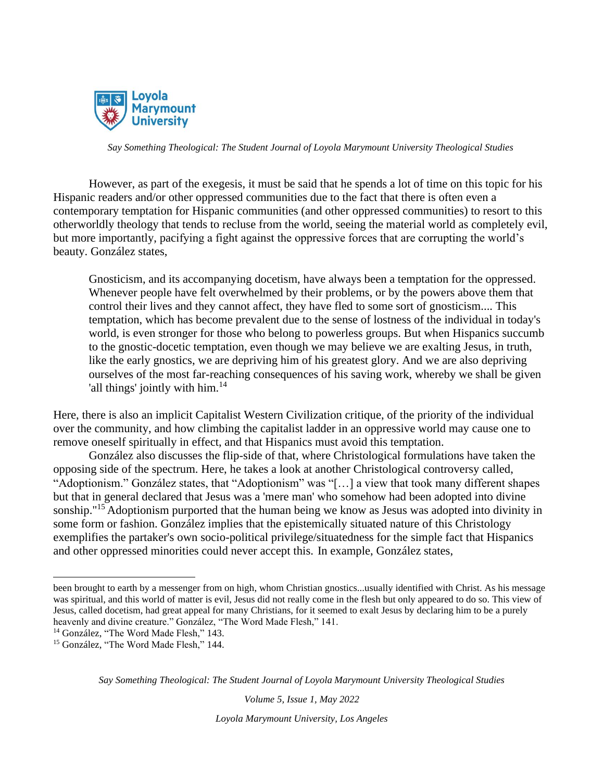

However, as part of the exegesis, it must be said that he spends a lot of time on this topic for his Hispanic readers and/or other oppressed communities due to the fact that there is often even a contemporary temptation for Hispanic communities (and other oppressed communities) to resort to this otherworldly theology that tends to recluse from the world, seeing the material world as completely evil, but more importantly, pacifying a fight against the oppressive forces that are corrupting the world's beauty. González states,

Gnosticism, and its accompanying docetism, have always been a temptation for the oppressed. Whenever people have felt overwhelmed by their problems, or by the powers above them that control their lives and they cannot affect, they have fled to some sort of gnosticism.... This temptation, which has become prevalent due to the sense of lostness of the individual in today's world, is even stronger for those who belong to powerless groups. But when Hispanics succumb to the gnostic-docetic temptation, even though we may believe we are exalting Jesus, in truth, like the early gnostics, we are depriving him of his greatest glory. And we are also depriving ourselves of the most far-reaching consequences of his saving work, whereby we shall be given 'all things' jointly with him.<sup>14</sup>

Here, there is also an implicit Capitalist Western Civilization critique, of the priority of the individual over the community, and how climbing the capitalist ladder in an oppressive world may cause one to remove oneself spiritually in effect, and that Hispanics must avoid this temptation.

González also discusses the flip-side of that, where Christological formulations have taken the opposing side of the spectrum. Here, he takes a look at another Christological controversy called, "Adoptionism." González states, that "Adoptionism" was "[…] a view that took many different shapes but that in general declared that Jesus was a 'mere man' who somehow had been adopted into divine sonship."<sup>15</sup> Adoptionism purported that the human being we know as Jesus was adopted into divinity in some form or fashion. González implies that the epistemically situated nature of this Christology exemplifies the partaker's own socio-political privilege/situatedness for the simple fact that Hispanics and other oppressed minorities could never accept this. In example, González states,

*Say Something Theological: The Student Journal of Loyola Marymount University Theological Studies*

*Volume 5, Issue 1, May 2022*

been brought to earth by a messenger from on high, whom Christian gnostics...usually identified with Christ. As his message was spiritual, and this world of matter is evil, Jesus did not really come in the flesh but only appeared to do so. This view of Jesus, called docetism, had great appeal for many Christians, for it seemed to exalt Jesus by declaring him to be a purely heavenly and divine creature." González, "The Word Made Flesh," 141.

<sup>&</sup>lt;sup>14</sup> González, "The Word Made Flesh," 143.

<sup>&</sup>lt;sup>15</sup> González, "The Word Made Flesh," 144.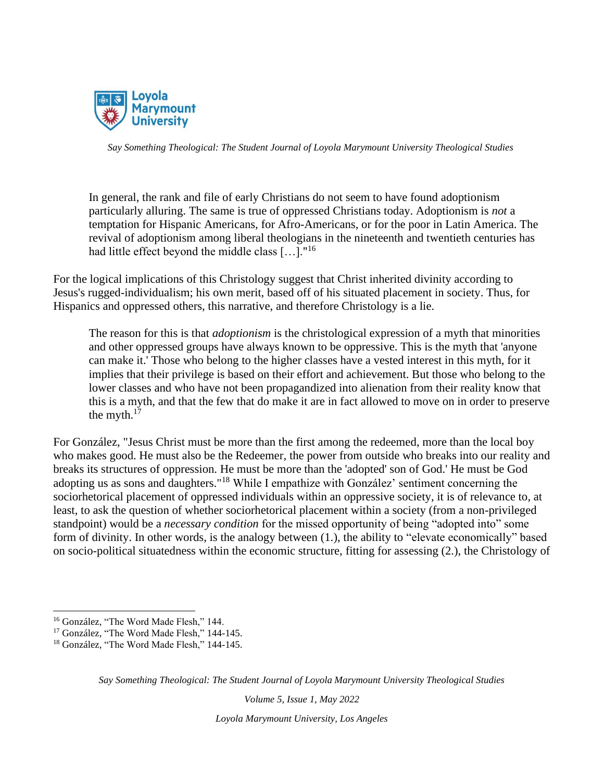

In general, the rank and file of early Christians do not seem to have found adoptionism particularly alluring. The same is true of oppressed Christians today. Adoptionism is *not* a temptation for Hispanic Americans, for Afro-Americans, or for the poor in Latin America. The revival of adoptionism among liberal theologians in the nineteenth and twentieth centuries has had little effect beyond the middle class […]."<sup>16</sup>

For the logical implications of this Christology suggest that Christ inherited divinity according to Jesus's rugged-individualism; his own merit, based off of his situated placement in society. Thus, for Hispanics and oppressed others, this narrative, and therefore Christology is a lie.

The reason for this is that *adoptionism* is the christological expression of a myth that minorities and other oppressed groups have always known to be oppressive. This is the myth that 'anyone can make it.' Those who belong to the higher classes have a vested interest in this myth, for it implies that their privilege is based on their effort and achievement. But those who belong to the lower classes and who have not been propagandized into alienation from their reality know that this is a myth, and that the few that do make it are in fact allowed to move on in order to preserve the myth. $17$ 

For González, "Jesus Christ must be more than the first among the redeemed, more than the local boy who makes good. He must also be the Redeemer, the power from outside who breaks into our reality and breaks its structures of oppression. He must be more than the 'adopted' son of God.' He must be God adopting us as sons and daughters."<sup>18</sup> While I empathize with González' sentiment concerning the sociorhetorical placement of oppressed individuals within an oppressive society, it is of relevance to, at least, to ask the question of whether sociorhetorical placement within a society (from a non-privileged standpoint) would be a *necessary condition* for the missed opportunity of being "adopted into" some form of divinity. In other words, is the analogy between (1.), the ability to "elevate economically" based on socio-political situatedness within the economic structure, fitting for assessing (2.), the Christology of

*Say Something Theological: The Student Journal of Loyola Marymount University Theological Studies*

*Volume 5, Issue 1, May 2022*

<sup>&</sup>lt;sup>16</sup> González, "The Word Made Flesh," 144.

<sup>&</sup>lt;sup>17</sup> González, "The Word Made Flesh," 144-145.

<sup>&</sup>lt;sup>18</sup> González, "The Word Made Flesh," 144-145.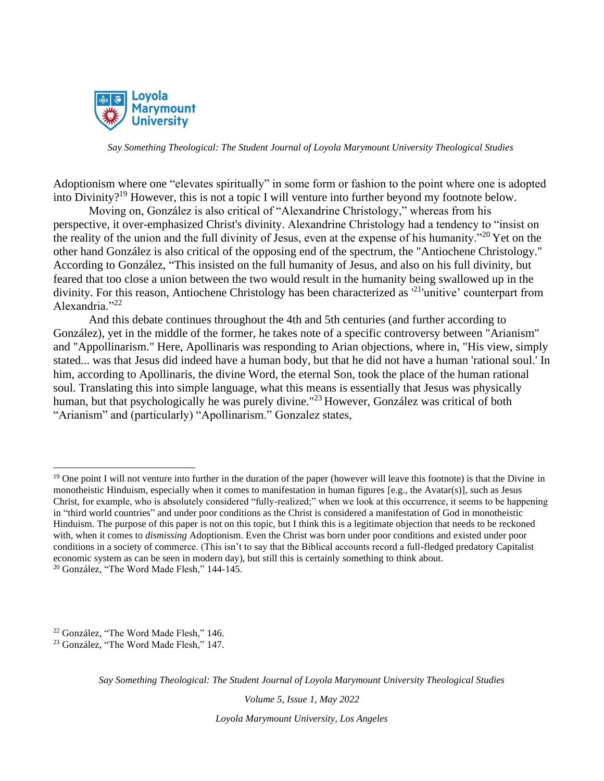

Adoptionism where one "elevates spiritually" in some form or fashion to the point where one is adopted into Divinity?<sup>19</sup> However, this is not a topic I will venture into further beyond my footnote below.

Moving on, González is also critical of "Alexandrine Christology," whereas from his perspective, it over-emphasized Christ's divinity. Alexandrine Christology had a tendency to "insist on the reality of the union and the full divinity of Jesus, even at the expense of his humanity."<sup>20</sup> Yet on the other hand González is also critical of the opposing end of the spectrum, the "Antiochene Christology." According to González, "This insisted on the full humanity of Jesus, and also on his full divinity, but feared that too close a union between the two would result in the humanity being swallowed up in the divinity. For this reason, Antiochene Christology has been characterized as <sup>21</sup> unitive' counterpart from Alexandria." $^{22}$ 

And this debate continues throughout the 4th and 5th centuries (and further according to González), yet in the middle of the former, he takes note of a specific controversy between "Arianism" and "Appollinarism." Here, Apollinaris was responding to Arian objections, where in, "His view, simply stated... was that Jesus did indeed have a human body, but that he did not have a human 'rational soul.' In him, according to Apollinaris, the divine Word, the eternal Son, took the place of the human rational soul. Translating this into simple language, what this means is essentially that Jesus was physically human, but that psychologically he was purely divine."<sup>23</sup> However, González was critical of both "Arianism" and (particularly) "Apollinarism." Gonzalez states,

*Say Something Theological: The Student Journal of Loyola Marymount University Theological Studies*

*Volume 5, Issue 1, May 2022*

<sup>&</sup>lt;sup>19</sup> One point I will not venture into further in the duration of the paper (however will leave this footnote) is that the Divine in monotheistic Hinduism, especially when it comes to manifestation in human figures [e.g., the Avatar(s)], such as Jesus Christ, for example, who is absolutely considered "fully-realized;" when we look at this occurrence, it seems to be happening in "third world countries" and under poor conditions as the Christ is considered a manifestation of God in monotheistic Hinduism. The purpose of this paper is not on this topic, but I think this is a legitimate objection that needs to be reckoned with, when it comes to *dismissing* Adoptionism. Even the Christ was born under poor conditions and existed under poor conditions in a society of commerce. (This isn't to say that the Biblical accounts record a full-fledged predatory Capitalist economic system as can be seen in modern day), but still this is certainly something to think about. <sup>20</sup> González, "The Word Made Flesh," 144-145.

<sup>22</sup> González, "The Word Made Flesh," 146.

<sup>23</sup> González, "The Word Made Flesh," 147.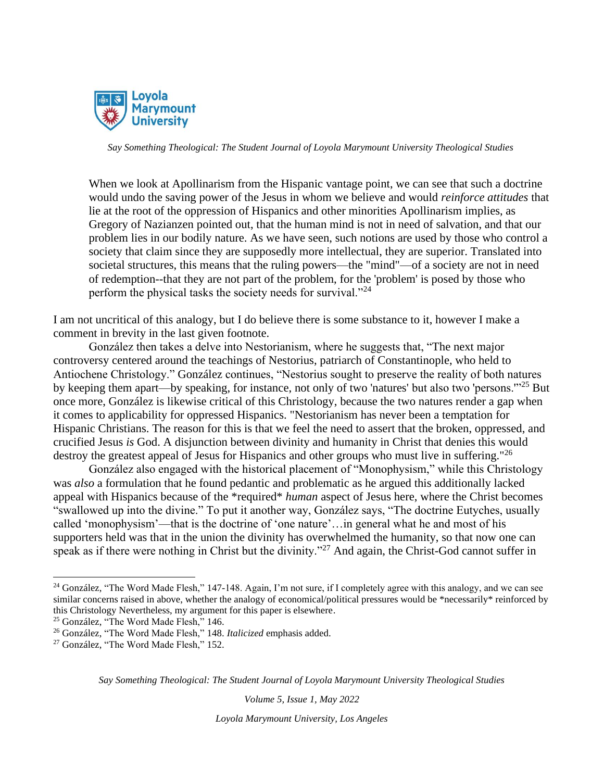

When we look at Apollinarism from the Hispanic vantage point, we can see that such a doctrine would undo the saving power of the Jesus in whom we believe and would *reinforce attitudes* that lie at the root of the oppression of Hispanics and other minorities Apollinarism implies, as Gregory of Nazianzen pointed out, that the human mind is not in need of salvation, and that our problem lies in our bodily nature. As we have seen, such notions are used by those who control a society that claim since they are supposedly more intellectual, they are superior. Translated into societal structures, this means that the ruling powers—the "mind"—of a society are not in need of redemption--that they are not part of the problem, for the 'problem' is posed by those who perform the physical tasks the society needs for survival."<sup>24</sup>

I am not uncritical of this analogy, but I do believe there is some substance to it, however I make a comment in brevity in the last given footnote.

González then takes a delve into Nestorianism, where he suggests that, "The next major controversy centered around the teachings of Nestorius, patriarch of Constantinople, who held to Antiochene Christology." González continues, "Nestorius sought to preserve the reality of both natures by keeping them apart—by speaking, for instance, not only of two 'natures' but also two 'persons.'"<sup>25</sup> But once more, González is likewise critical of this Christology, because the two natures render a gap when it comes to applicability for oppressed Hispanics. "Nestorianism has never been a temptation for Hispanic Christians. The reason for this is that we feel the need to assert that the broken, oppressed, and crucified Jesus *is* God. A disjunction between divinity and humanity in Christ that denies this would destroy the greatest appeal of Jesus for Hispanics and other groups who must live in suffering."<sup>26</sup>

González also engaged with the historical placement of "Monophysism," while this Christology was *also* a formulation that he found pedantic and problematic as he argued this additionally lacked appeal with Hispanics because of the \*required\* *human* aspect of Jesus here, where the Christ becomes "swallowed up into the divine." To put it another way, González says, "The doctrine Eutyches, usually called 'monophysism'—that is the doctrine of 'one nature'…in general what he and most of his supporters held was that in the union the divinity has overwhelmed the humanity, so that now one can speak as if there were nothing in Christ but the divinity."<sup>27</sup> And again, the Christ-God cannot suffer in

*Say Something Theological: The Student Journal of Loyola Marymount University Theological Studies*

*Volume 5, Issue 1, May 2022*

 $24$  González, "The Word Made Flesh," 147-148. Again, I'm not sure, if I completely agree with this analogy, and we can see similar concerns raised in above, whether the analogy of economical/political pressures would be \*necessarily\* reinforced by this Christology Nevertheless, my argument for this paper is elsewhere.

<sup>25</sup> González, "The Word Made Flesh," 146.

<sup>26</sup> González, "The Word Made Flesh," 148. *Italicized* emphasis added.

<sup>&</sup>lt;sup>27</sup> González, "The Word Made Flesh," 152.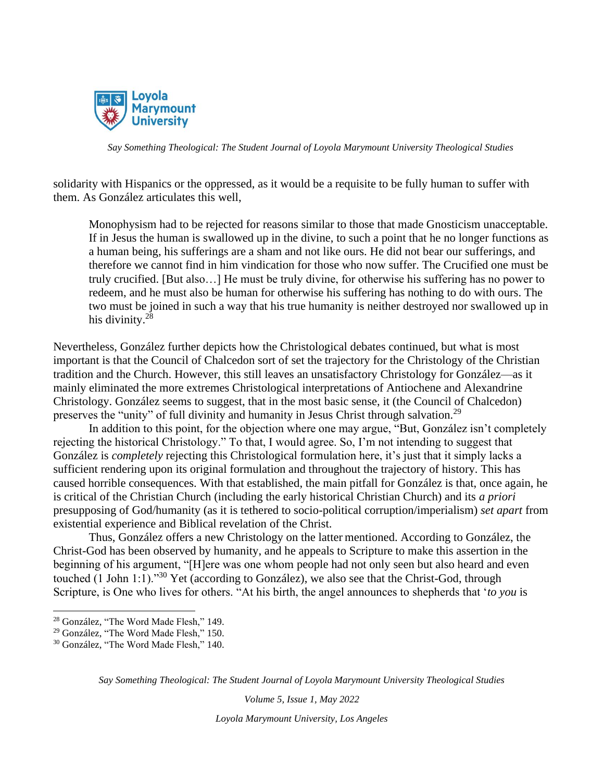

solidarity with Hispanics or the oppressed, as it would be a requisite to be fully human to suffer with them. As González articulates this well,

Monophysism had to be rejected for reasons similar to those that made Gnosticism unacceptable. If in Jesus the human is swallowed up in the divine, to such a point that he no longer functions as a human being, his sufferings are a sham and not like ours. He did not bear our sufferings, and therefore we cannot find in him vindication for those who now suffer. The Crucified one must be truly crucified. [But also…] He must be truly divine, for otherwise his suffering has no power to redeem, and he must also be human for otherwise his suffering has nothing to do with ours. The two must be joined in such a way that his true humanity is neither destroyed nor swallowed up in his divinity.<sup>28</sup>

Nevertheless, González further depicts how the Christological debates continued, but what is most important is that the Council of Chalcedon sort of set the trajectory for the Christology of the Christian tradition and the Church. However, this still leaves an unsatisfactory Christology for González—as it mainly eliminated the more extremes Christological interpretations of Antiochene and Alexandrine Christology. González seems to suggest, that in the most basic sense, it (the Council of Chalcedon) preserves the "unity" of full divinity and humanity in Jesus Christ through salvation.<sup>29</sup>

In addition to this point, for the objection where one may argue, "But, González isn't completely rejecting the historical Christology." To that, I would agree. So, I'm not intending to suggest that González is *completely* rejecting this Christological formulation here, it's just that it simply lacks a sufficient rendering upon its original formulation and throughout the trajectory of history. This has caused horrible consequences. With that established, the main pitfall for González is that, once again, he is critical of the Christian Church (including the early historical Christian Church) and its *a priori* presupposing of God/humanity (as it is tethered to socio-political corruption/imperialism) *set apart* from existential experience and Biblical revelation of the Christ.

Thus, González offers a new Christology on the latter mentioned. According to González, the Christ-God has been observed by humanity, and he appeals to Scripture to make this assertion in the beginning of his argument, "[H]ere was one whom people had not only seen but also heard and even touched (1 John 1:1)."<sup>30</sup> Yet (according to González), we also see that the Christ-God, through Scripture, is One who lives for others. "At his birth, the angel announces to shepherds that '*to you* is

*Say Something Theological: The Student Journal of Loyola Marymount University Theological Studies*

*Volume 5, Issue 1, May 2022*

<sup>28</sup> González, "The Word Made Flesh," 149.

<sup>29</sup> González, "The Word Made Flesh," 150.

<sup>30</sup> González, "The Word Made Flesh," 140.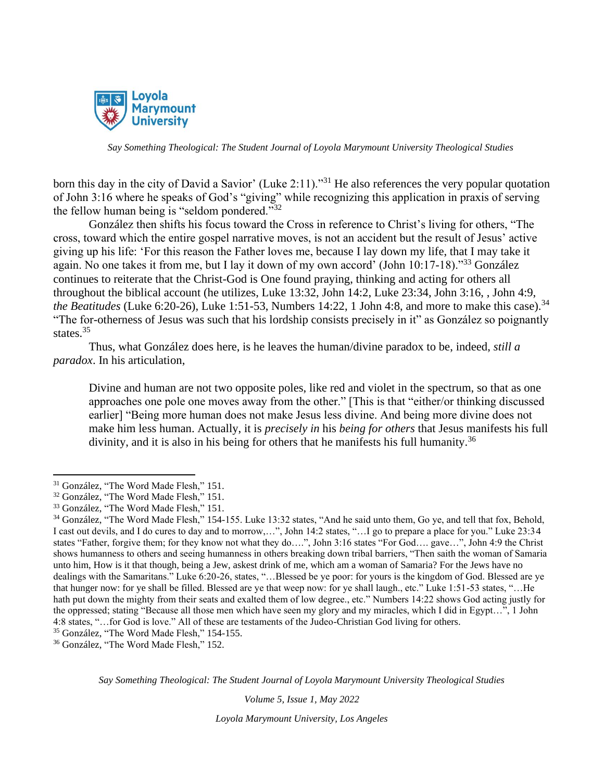

born this day in the city of David a Savior' (Luke 2:11)."<sup>31</sup> He also references the very popular quotation of John 3:16 where he speaks of God's "giving" while recognizing this application in praxis of serving the fellow human being is "seldom pondered." $32$ 

González then shifts his focus toward the Cross in reference to Christ's living for others, "The cross, toward which the entire gospel narrative moves, is not an accident but the result of Jesus' active giving up his life: 'For this reason the Father loves me, because I lay down my life, that I may take it again. No one takes it from me, but I lay it down of my own accord' (John 10:17-18)."<sup>33</sup> González continues to reiterate that the Christ-God is One found praying, thinking and acting for others all throughout the biblical account (he utilizes, Luke 13:32, John 14:2, Luke 23:34, John 3:16, , John 4:9, *the Beatitudes* (Luke 6:20-26), Luke 1:51-53, Numbers 14:22, 1 John 4:8, and more to make this case).<sup>34</sup> "The for-otherness of Jesus was such that his lordship consists precisely in it" as González so poignantly states.<sup>35</sup>

Thus, what González does here, is he leaves the human/divine paradox to be, indeed, *still a paradox*. In his articulation,

Divine and human are not two opposite poles, like red and violet in the spectrum, so that as one approaches one pole one moves away from the other." [This is that "either/or thinking discussed earlier] "Being more human does not make Jesus less divine. And being more divine does not make him less human. Actually, it is *precisely in* his *being for others* that Jesus manifests his full divinity, and it is also in his being for others that he manifests his full humanity.<sup>36</sup>

<sup>36</sup> González, "The Word Made Flesh," 152.

*Say Something Theological: The Student Journal of Loyola Marymount University Theological Studies*

*Volume 5, Issue 1, May 2022*

<sup>&</sup>lt;sup>31</sup> González, "The Word Made Flesh," 151.

<sup>32</sup> González, "The Word Made Flesh," 151.

<sup>33</sup> González, "The Word Made Flesh," 151.

<sup>34</sup> González, "The Word Made Flesh," 154-155. Luke 13:32 states, "And he said unto them, Go ye, and tell that fox, Behold, I cast out devils, and I do cures to day and to morrow,…", John 14:2 states, "…I go to prepare a place for you." Luke 23:34 states "Father, forgive them; for they know not what they do….", John 3:16 states "For God…. gave…", John 4:9 the Christ shows humanness to others and seeing humanness in others breaking down tribal barriers, "Then saith the woman of Samaria unto him, How is it that though, being a Jew, askest drink of me, which am a woman of Samaria? For the Jews have no dealings with the Samaritans." Luke 6:20-26, states, "…Blessed be ye poor: for yours is the kingdom of God. Blessed are ye that hunger now: for ye shall be filled. Blessed are ye that weep now: for ye shall laugh., etc." Luke 1:51-53 states, "…He hath put down the mighty from their seats and exalted them of low degree., etc." Numbers 14:22 shows God acting justly for the oppressed; stating "Because all those men which have seen my glory and my miracles, which I did in Egypt…", 1 John 4:8 states, "…for God is love." All of these are testaments of the Judeo-Christian God living for others.

<sup>35</sup> González, "The Word Made Flesh," 154-155.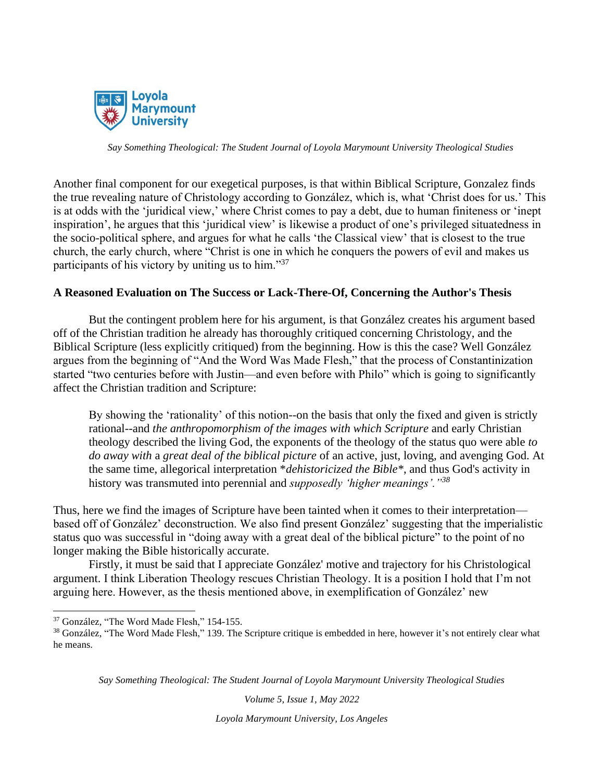

Another final component for our exegetical purposes, is that within Biblical Scripture, Gonzalez finds the true revealing nature of Christology according to González, which is, what 'Christ does for us.' This is at odds with the 'juridical view,' where Christ comes to pay a debt, due to human finiteness or 'inept inspiration', he argues that this 'juridical view' is likewise a product of one's privileged situatedness in the socio-political sphere, and argues for what he calls 'the Classical view' that is closest to the true church, the early church, where "Christ is one in which he conquers the powers of evil and makes us participants of his victory by uniting us to him."<sup>37</sup>

### **A Reasoned Evaluation on The Success or Lack-There-Of, Concerning the Author's Thesis**

But the contingent problem here for his argument, is that González creates his argument based off of the Christian tradition he already has thoroughly critiqued concerning Christology, and the Biblical Scripture (less explicitly critiqued) from the beginning. How is this the case? Well González argues from the beginning of "And the Word Was Made Flesh," that the process of Constantinization started "two centuries before with Justin—and even before with Philo" which is going to significantly affect the Christian tradition and Scripture:

By showing the 'rationality' of this notion--on the basis that only the fixed and given is strictly rational--and *the anthropomorphism of the images with which Scripture* and early Christian theology described the living God, the exponents of the theology of the status quo were able *to do away with* a *great deal of the biblical picture* of an active, just, loving, and avenging God. At the same time, allegorical interpretation \**dehistoricized the Bible\**, and thus God's activity in history was transmuted into perennial and *supposedly 'higher meanings'."<sup>38</sup>*

Thus, here we find the images of Scripture have been tainted when it comes to their interpretation based off of González' deconstruction. We also find present González' suggesting that the imperialistic status quo was successful in "doing away with a great deal of the biblical picture" to the point of no longer making the Bible historically accurate.

Firstly, it must be said that I appreciate González' motive and trajectory for his Christological argument. I think Liberation Theology rescues Christian Theology. It is a position I hold that I'm not arguing here. However, as the thesis mentioned above, in exemplification of González' new

*Say Something Theological: The Student Journal of Loyola Marymount University Theological Studies*

*Volume 5, Issue 1, May 2022*

<sup>37</sup> González, "The Word Made Flesh," 154-155.

<sup>&</sup>lt;sup>38</sup> González, "The Word Made Flesh," 139. The Scripture critique is embedded in here, however it's not entirely clear what he means.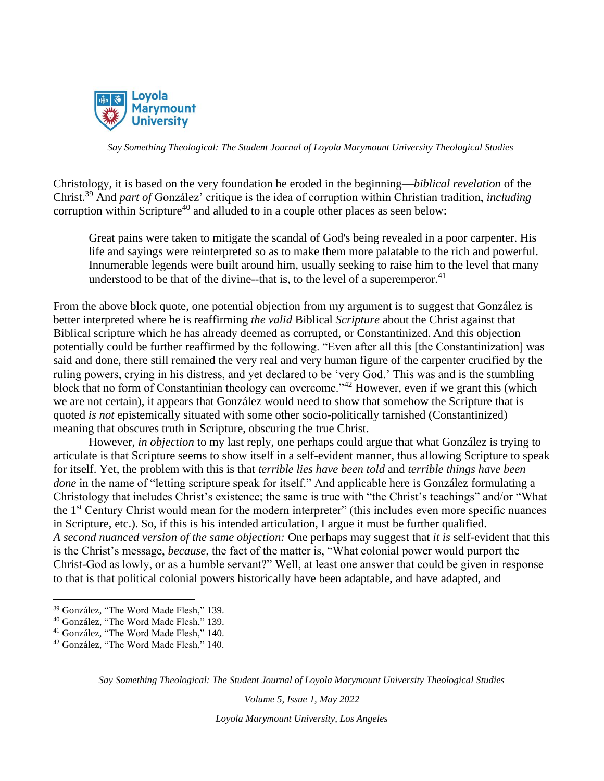

Christology, it is based on the very foundation he eroded in the beginning—*biblical revelation* of the Christ.<sup>39</sup> And *part of* González' critique is the idea of corruption within Christian tradition, *including* corruption within Scripture<sup>40</sup> and alluded to in a couple other places as seen below:

Great pains were taken to mitigate the scandal of God's being revealed in a poor carpenter. His life and sayings were reinterpreted so as to make them more palatable to the rich and powerful. Innumerable legends were built around him, usually seeking to raise him to the level that many understood to be that of the divine--that is, to the level of a superemperor.<sup>41</sup>

From the above block quote, one potential objection from my argument is to suggest that González is better interpreted where he is reaffirming *the valid* Biblical *Scripture* about the Christ against that Biblical scripture which he has already deemed as corrupted, or Constantinized. And this objection potentially could be further reaffirmed by the following. "Even after all this [the Constantinization] was said and done, there still remained the very real and very human figure of the carpenter crucified by the ruling powers, crying in his distress, and yet declared to be 'very God.' This was and is the stumbling block that no form of Constantinian theology can overcome."<sup>42</sup> However, even if we grant this (which we are not certain), it appears that González would need to show that somehow the Scripture that is quoted *is not* epistemically situated with some other socio-politically tarnished (Constantinized) meaning that obscures truth in Scripture, obscuring the true Christ.

However, *in objection* to my last reply, one perhaps could argue that what González is trying to articulate is that Scripture seems to show itself in a self-evident manner, thus allowing Scripture to speak for itself. Yet, the problem with this is that *terrible lies have been told* and *terrible things have been done* in the name of "letting scripture speak for itself." And applicable here is González formulating a Christology that includes Christ's existence; the same is true with "the Christ's teachings" and/or "What the 1st Century Christ would mean for the modern interpreter" (this includes even more specific nuances in Scripture, etc.). So, if this is his intended articulation, I argue it must be further qualified. *A second nuanced version of the same objection:* One perhaps may suggest that *it is* self-evident that this is the Christ's message, *because*, the fact of the matter is, "What colonial power would purport the Christ-God as lowly, or as a humble servant?" Well, at least one answer that could be given in response to that is that political colonial powers historically have been adaptable, and have adapted, and

*Say Something Theological: The Student Journal of Loyola Marymount University Theological Studies*

*Volume 5, Issue 1, May 2022*

<sup>39</sup> González, "The Word Made Flesh," 139.

<sup>40</sup> González, "The Word Made Flesh," 139.

<sup>41</sup> González, "The Word Made Flesh," 140.

<sup>42</sup> González, "The Word Made Flesh," 140.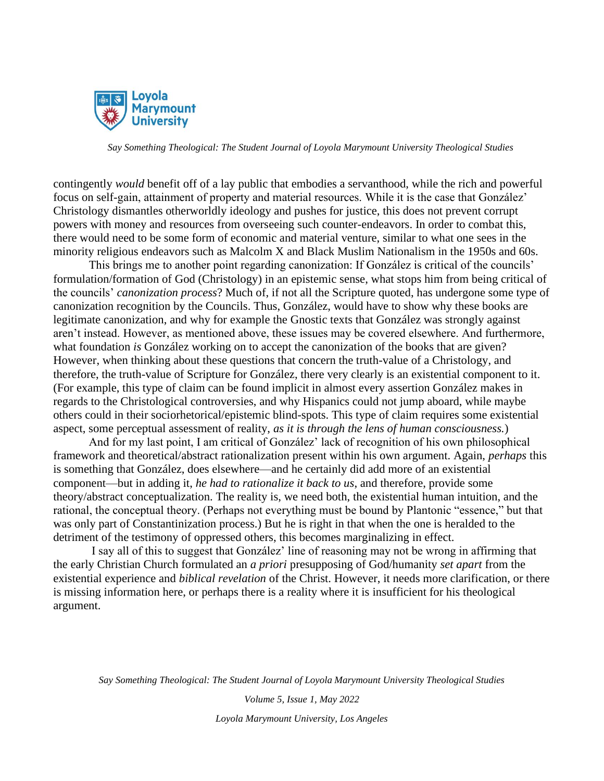

contingently *would* benefit off of a lay public that embodies a servanthood, while the rich and powerful focus on self-gain, attainment of property and material resources. While it is the case that González' Christology dismantles otherworldly ideology and pushes for justice, this does not prevent corrupt powers with money and resources from overseeing such counter-endeavors. In order to combat this, there would need to be some form of economic and material venture, similar to what one sees in the minority religious endeavors such as Malcolm X and Black Muslim Nationalism in the 1950s and 60s.

This brings me to another point regarding canonization: If González is critical of the councils' formulation/formation of God (Christology) in an epistemic sense, what stops him from being critical of the councils' *canonization process*? Much of, if not all the Scripture quoted, has undergone some type of canonization recognition by the Councils. Thus, González, would have to show why these books are legitimate canonization, and why for example the Gnostic texts that González was strongly against aren't instead. However, as mentioned above, these issues may be covered elsewhere. And furthermore, what foundation *is* González working on to accept the canonization of the books that are given? However, when thinking about these questions that concern the truth-value of a Christology, and therefore, the truth-value of Scripture for González, there very clearly is an existential component to it. (For example, this type of claim can be found implicit in almost every assertion González makes in regards to the Christological controversies, and why Hispanics could not jump aboard, while maybe others could in their sociorhetorical/epistemic blind-spots. This type of claim requires some existential aspect, some perceptual assessment of reality, *as it is through the lens of human consciousness.*)

And for my last point, I am critical of González' lack of recognition of his own philosophical framework and theoretical/abstract rationalization present within his own argument. Again, *perhaps* this is something that González, does elsewhere—and he certainly did add more of an existential component—but in adding it, *he had to rationalize it back to us*, and therefore, provide some theory/abstract conceptualization. The reality is, we need both, the existential human intuition, and the rational, the conceptual theory. (Perhaps not everything must be bound by Plantonic "essence," but that was only part of Constantinization process.) But he is right in that when the one is heralded to the detriment of the testimony of oppressed others, this becomes marginalizing in effect.

I say all of this to suggest that González' line of reasoning may not be wrong in affirming that the early Christian Church formulated an *a priori* presupposing of God/humanity *set apart* from the existential experience and *biblical revelation* of the Christ. However, it needs more clarification, or there is missing information here, or perhaps there is a reality where it is insufficient for his theological argument.

*Say Something Theological: The Student Journal of Loyola Marymount University Theological Studies*

*Volume 5, Issue 1, May 2022 Loyola Marymount University, Los Angeles*